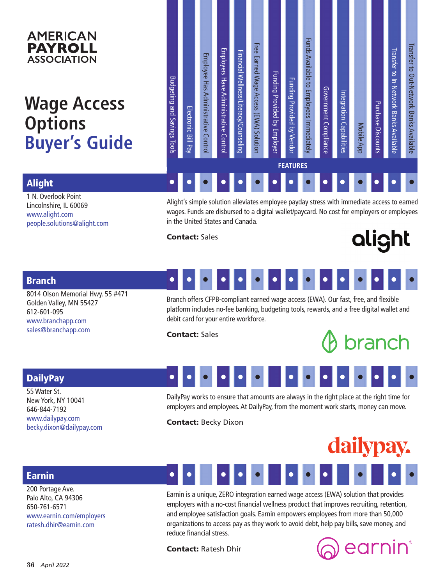## **AMERICAN PAYROLL ASSOCIATION**

# **Wage Access Options Buyer's Guide**

| <b>FEATURES</b> |
|-----------------|
|-----------------|

Alight

1 N. Overlook Point Lincolnshire, IL 60069 www.alight.com people.solutions@alight.com

Alight's simple solution alleviates employee payday stress with immediate access to earned wages. Funds are disbursed to a digital wallet/paycard. No cost for employers or employees in the United States and Canada.

Contact: Sales

# alight

## Branch

8014 Olson Memorial Hwy. 55 #471 Golden Valley, MN 55427 612-601-095 www.branchapp.com sales@branchapp.com

#### • • • • • • • • • • • • • • •

Branch offers CFPB-compliant earned wage access (EWA). Our fast, free, and flexible platform includes no-fee banking, budgeting tools, rewards, and a free digital wallet and debit card for your entire workforce.

Contact: Sales

•

•

# branch

•

•

•

•

## **DailyPay**

55 Water St. New York, NY 10041 646-844-7192 www.dailypay.com becky.dixon@dailypay.com

DailyPay works to ensure that amounts are always in the right place at the right time for employers and employees. At DailyPay, from the moment work starts, money can move.

•

•

•

•

Contact: Becky Dixon

•

•

•

•

#### dailypay. • • • • • •

## Earnin

200 Portage Ave. Palo Alto, CA 94306 650-761-6571 www.earnin.com/employers ratesh.dhir@earnin.com



organizations to access pay as they work to avoid debt, help pay bills, save money, and

Contact: Ratesh Dhir

reduce financial stress.

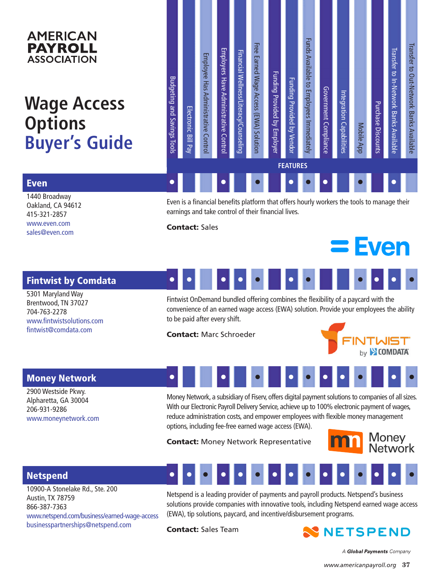## **AMERICAN PAYROLL ASSOCIATION**

# **Wage Access Options Buyer's Guide**

| Budgeting and Savings Tools | Electronic Bill Pay | Employee Has Administrative Control                             | Employers Have Administrative<br>Contro | Financial Wellness/Literacy/Counseling | Free Earned Wage Access (EWA) Solution                                                                                                                                                                                                                                                                                                                                                            | Funding Provided by Employer | Funding Provided by Vendor | Funds Available to Employees Immediately | Government Compliance | ntegration Capabilities | Mobile App | Purchase Discounts | <b>Iranster to In-Network Banks Avallaple</b> | Iransfer to Out-Network Banks Available |
|-----------------------------|---------------------|-----------------------------------------------------------------|-----------------------------------------|----------------------------------------|---------------------------------------------------------------------------------------------------------------------------------------------------------------------------------------------------------------------------------------------------------------------------------------------------------------------------------------------------------------------------------------------------|------------------------------|----------------------------|------------------------------------------|-----------------------|-------------------------|------------|--------------------|-----------------------------------------------|-----------------------------------------|
|                             |                     |                                                                 |                                         |                                        |                                                                                                                                                                                                                                                                                                                                                                                                   |                              | <b>FEATURES</b>            |                                          |                       |                         |            |                    |                                               |                                         |
|                             |                     |                                                                 |                                         |                                        |                                                                                                                                                                                                                                                                                                                                                                                                   |                              |                            |                                          |                       |                         |            |                    |                                               |                                         |
|                             |                     |                                                                 |                                         |                                        | Even is a financial benefits platform that offers hourly workers the tools to manage their<br>earnings and take control of their financial lives.                                                                                                                                                                                                                                                 |                              |                            |                                          |                       |                         |            |                    |                                               |                                         |
|                             |                     | <b>Contact: Sales</b>                                           |                                         |                                        |                                                                                                                                                                                                                                                                                                                                                                                                   |                              |                            |                                          |                       |                         |            |                    | $=$ Even                                      |                                         |
|                             |                     |                                                                 |                                         |                                        |                                                                                                                                                                                                                                                                                                                                                                                                   |                              |                            |                                          |                       |                         |            |                    |                                               |                                         |
|                             |                     | to be paid after every shift.<br><b>Contact: Marc Schroeder</b> |                                         |                                        | Fintwist OnDemand bundled offering combines the flexibility of a paycard with the<br>convenience of an earned wage access (EWA) solution. Provide your employees the ability                                                                                                                                                                                                                      |                              |                            |                                          |                       |                         |            |                    | by SCOMDATA                                   |                                         |
|                             |                     |                                                                 |                                         |                                        |                                                                                                                                                                                                                                                                                                                                                                                                   |                              |                            |                                          |                       |                         |            |                    |                                               |                                         |
|                             |                     |                                                                 |                                         |                                        | Money Network, a subsidiary of Fiserv, offers digital payment solutions to companies of all sizes.<br>With our Electronic Payroll Delivery Service, achieve up to 100% electronic payment of wages,<br>reduce administration costs, and empower employees with flexible money management<br>options, including fee-free earned wage access (EWA).<br><b>Contact: Money Network Representative</b> |                              |                            |                                          |                       |                         |            |                    | <b>1</b> Money<br>Network                     |                                         |
|                             |                     |                                                                 |                                         |                                        | . <b>.</b>                                                                                                                                                                                                                                                                                                                                                                                        |                              |                            |                                          |                       |                         |            |                    |                                               |                                         |
|                             |                     |                                                                 |                                         |                                        | Netspend is a leading provider of payments and payroll products. Netspend's business<br>solutions provide companies with innovative tools, including Netspend earned wage access<br>(EWA), tip solutions, paycard, and incentive/disbursement programs.                                                                                                                                           |                              |                            |                                          |                       |                         |            |                    |                                               |                                         |
|                             |                     | <b>Contact: Sales Team</b>                                      |                                         |                                        |                                                                                                                                                                                                                                                                                                                                                                                                   |                              |                            |                                          |                       |                         |            |                    | NNETSPEND                                     |                                         |
|                             |                     |                                                                 |                                         |                                        |                                                                                                                                                                                                                                                                                                                                                                                                   |                              |                            |                                          |                       |                         |            |                    | A Global Payments Company                     |                                         |
|                             |                     |                                                                 |                                         |                                        |                                                                                                                                                                                                                                                                                                                                                                                                   |                              |                            |                                          |                       |                         |            |                    | www.americanpayroll.org 37                    |                                         |

### Even

1440 Broadway Oakland, CA 94612 415-321-2857 www.even.com sales@even.com

## Fintwist by Comdata

5301 Maryland Way Brentwood, TN 37027 704-763-2278 www.fintwistsolutions.com fintwist@comdata.com



#### • • • • • •



## Money Network

2900 Westside Pkwy. Alpharetta, GA 30004 206-931-9286 www.moneynetwork.com



## Netspend

10900-A Stonelake Rd., Ste. 200 Austin, TX 78759 866-387-7363 www.netspend.com/business/earned-wage-access businesspartnerships@netspend.com

#### • • • • • • • • • • • • • • •